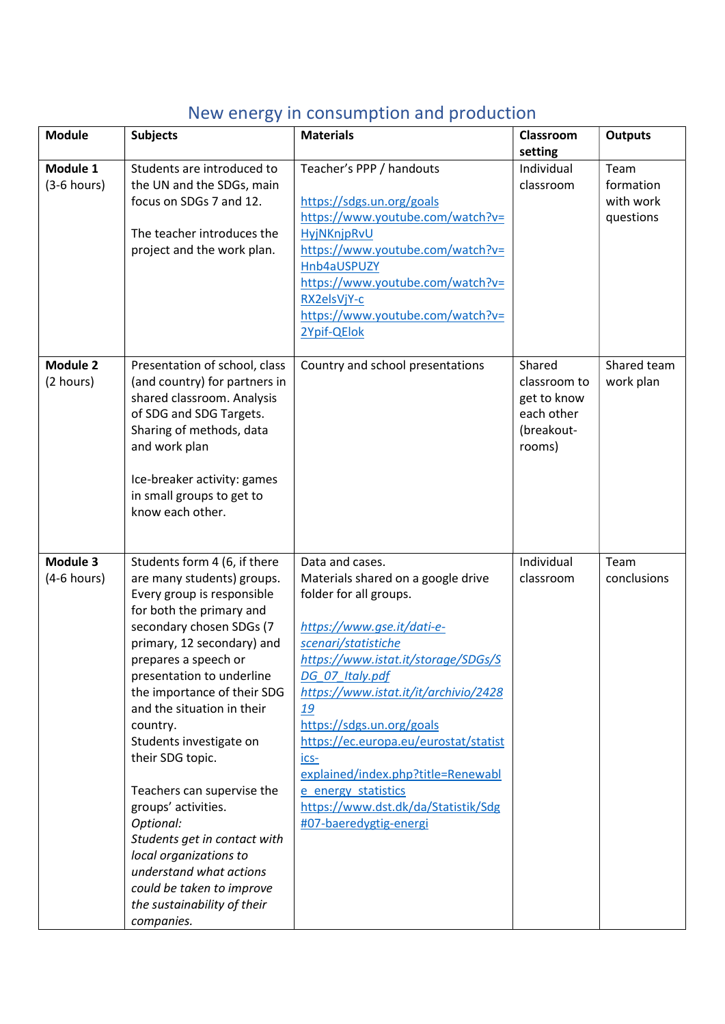## New energy in consumption and production

| <b>Module</b> | <b>Subjects</b>                                          | <b>Materials</b>                                      | Classroom                 | <b>Outputs</b>      |
|---------------|----------------------------------------------------------|-------------------------------------------------------|---------------------------|---------------------|
| Module 1      | Students are introduced to                               | Teacher's PPP / handouts                              | setting<br>Individual     | Team                |
| $(3-6$ hours) | the UN and the SDGs, main                                |                                                       | classroom                 | formation           |
|               | focus on SDGs 7 and 12.                                  | https://sdgs.un.org/goals                             |                           | with work           |
|               |                                                          | https://www.youtube.com/watch?v=                      |                           | questions           |
|               | The teacher introduces the                               | HyjNKnjpRvU                                           |                           |                     |
|               | project and the work plan.                               | https://www.youtube.com/watch?v=                      |                           |                     |
|               |                                                          | Hnb4aUSPUZY                                           |                           |                     |
|               |                                                          | https://www.youtube.com/watch?v=                      |                           |                     |
|               |                                                          | RX2elsVjY-c                                           |                           |                     |
|               |                                                          | https://www.youtube.com/watch?v=                      |                           |                     |
|               |                                                          | 2Ypif-QElok                                           |                           |                     |
|               |                                                          |                                                       |                           |                     |
| Module 2      | Presentation of school, class                            | Country and school presentations                      | Shared                    | Shared team         |
| (2 hours)     | (and country) for partners in                            |                                                       | classroom to              | work plan           |
|               | shared classroom. Analysis                               |                                                       | get to know<br>each other |                     |
|               | of SDG and SDG Targets.<br>Sharing of methods, data      |                                                       | (breakout-                |                     |
|               | and work plan                                            |                                                       | rooms)                    |                     |
|               |                                                          |                                                       |                           |                     |
|               | Ice-breaker activity: games                              |                                                       |                           |                     |
|               | in small groups to get to                                |                                                       |                           |                     |
|               | know each other.                                         |                                                       |                           |                     |
|               |                                                          |                                                       |                           |                     |
| Module 3      |                                                          |                                                       |                           |                     |
|               | Students form 4 (6, if there                             | Data and cases.<br>Materials shared on a google drive | Individual<br>classroom   | Team<br>conclusions |
| $(4-6$ hours) | are many students) groups.<br>Every group is responsible | folder for all groups.                                |                           |                     |
|               | for both the primary and                                 |                                                       |                           |                     |
|               | secondary chosen SDGs (7                                 | https://www.gse.it/dati-e-                            |                           |                     |
|               | primary, 12 secondary) and                               | scenari/statistiche                                   |                           |                     |
|               | prepares a speech or                                     | https://www.istat.it/storage/SDGs/S                   |                           |                     |
|               | presentation to underline                                | DG_07_Italy.pdf                                       |                           |                     |
|               | the importance of their SDG                              | https://www.istat.it/it/archivio/2428                 |                           |                     |
|               | and the situation in their                               | 19                                                    |                           |                     |
|               | country.                                                 | https://sdgs.un.org/goals                             |                           |                     |
|               | Students investigate on                                  | https://ec.europa.eu/eurostat/statist                 |                           |                     |
|               | their SDG topic.                                         | ics-                                                  |                           |                     |
|               |                                                          | explained/index.php?title=Renewabl                    |                           |                     |
|               | Teachers can supervise the                               | e energy statistics                                   |                           |                     |
|               | groups' activities.                                      | https://www.dst.dk/da/Statistik/Sdg                   |                           |                     |
|               | Optional:                                                | #07-baeredygtig-energi                                |                           |                     |
|               | Students get in contact with                             |                                                       |                           |                     |
|               | local organizations to                                   |                                                       |                           |                     |
|               | understand what actions                                  |                                                       |                           |                     |
|               | could be taken to improve                                |                                                       |                           |                     |
|               | the sustainability of their                              |                                                       |                           |                     |
|               | companies.                                               |                                                       |                           |                     |